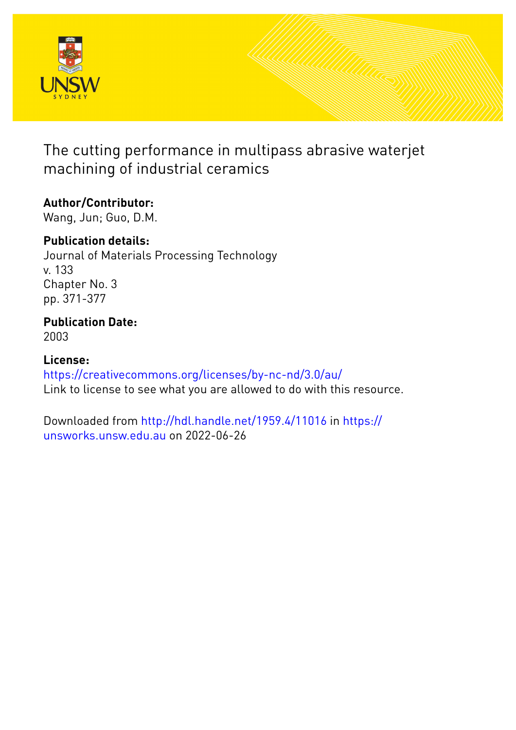

The cutting performance in multipass abrasive waterjet machining of industrial ceramics

# **Author/Contributor:**

Wang, Jun; Guo, D.M.

# **Publication details:**

Journal of Materials Processing Technology v. 133 Chapter No. 3 pp. 371-377

## **Publication Date:** 2003

# **License:**

<https://creativecommons.org/licenses/by-nc-nd/3.0/au/> Link to license to see what you are allowed to do with this resource.

Downloaded from <http://hdl.handle.net/1959.4/11016> in [https://](https://unsworks.unsw.edu.au) [unsworks.unsw.edu.au](https://unsworks.unsw.edu.au) on 2022-06-26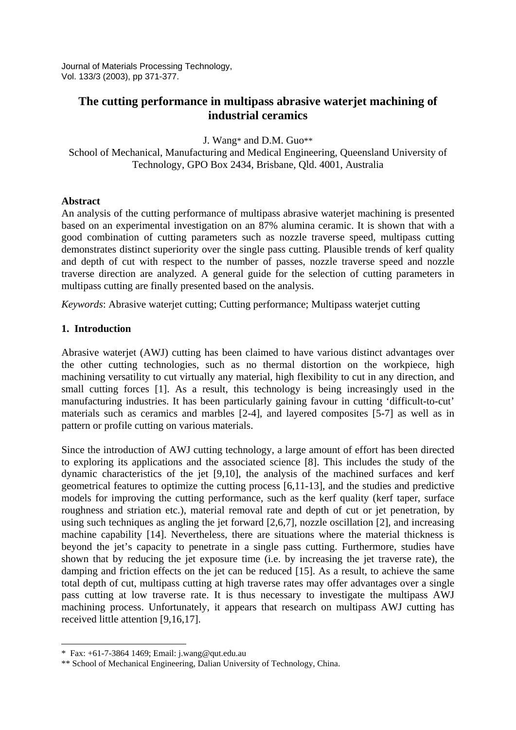Journal of Materials Processing Technology, Vol. 133/3 (2003), pp 371-377.

## **The cutting performance in multipass abrasive waterjet machining of industrial ceramics**

J. Wang\* and D.M. Guo\*\*

School of Mechanical, Manufacturing and Medical Engineering, Queensland University of Technology, GPO Box 2434, Brisbane, Qld. 4001, Australia

#### **Abstract**

An analysis of the cutting performance of multipass abrasive waterjet machining is presented based on an experimental investigation on an 87% alumina ceramic. It is shown that with a good combination of cutting parameters such as nozzle traverse speed, multipass cutting demonstrates distinct superiority over the single pass cutting. Plausible trends of kerf quality and depth of cut with respect to the number of passes, nozzle traverse speed and nozzle traverse direction are analyzed. A general guide for the selection of cutting parameters in multipass cutting are finally presented based on the analysis.

*Keywords*: Abrasive waterjet cutting; Cutting performance; Multipass waterjet cutting

#### **1. Introduction**

Abrasive waterjet (AWJ) cutting has been claimed to have various distinct advantages over the other cutting technologies, such as no thermal distortion on the workpiece, high machining versatility to cut virtually any material, high flexibility to cut in any direction, and small cutting forces [1]. As a result, this technology is being increasingly used in the manufacturing industries. It has been particularly gaining favour in cutting 'difficult-to-cut' materials such as ceramics and marbles [2-4], and layered composites [5-7] as well as in pattern or profile cutting on various materials.

Since the introduction of AWJ cutting technology, a large amount of effort has been directed to exploring its applications and the associated science [8]. This includes the study of the dynamic characteristics of the jet [9,10], the analysis of the machined surfaces and kerf geometrical features to optimize the cutting process [6,11-13], and the studies and predictive models for improving the cutting performance, such as the kerf quality (kerf taper, surface roughness and striation etc.), material removal rate and depth of cut or jet penetration, by using such techniques as angling the jet forward [2,6,7], nozzle oscillation [2], and increasing machine capability [14]. Nevertheless, there are situations where the material thickness is beyond the jet's capacity to penetrate in a single pass cutting. Furthermore, studies have shown that by reducing the jet exposure time (i.e. by increasing the jet traverse rate), the damping and friction effects on the jet can be reduced [15]. As a result, to achieve the same total depth of cut, multipass cutting at high traverse rates may offer advantages over a single pass cutting at low traverse rate. It is thus necessary to investigate the multipass AWJ machining process. Unfortunately, it appears that research on multipass AWJ cutting has received little attention [9,16,17].

-

<sup>\*</sup> Fax: +61-7-3864 1469; Email: j.wang@qut.edu.au

<sup>\*\*</sup> School of Mechanical Engineering, Dalian University of Technology, China.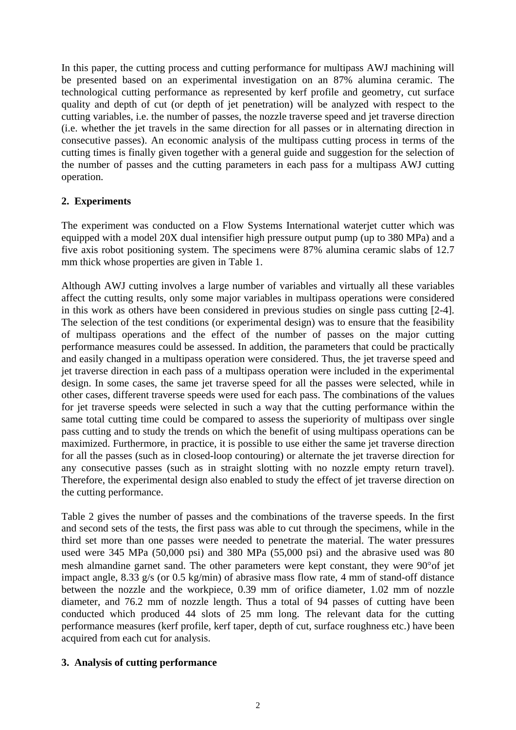In this paper, the cutting process and cutting performance for multipass AWJ machining will be presented based on an experimental investigation on an 87% alumina ceramic. The technological cutting performance as represented by kerf profile and geometry, cut surface quality and depth of cut (or depth of jet penetration) will be analyzed with respect to the cutting variables, i.e. the number of passes, the nozzle traverse speed and jet traverse direction (i.e. whether the jet travels in the same direction for all passes or in alternating direction in consecutive passes). An economic analysis of the multipass cutting process in terms of the cutting times is finally given together with a general guide and suggestion for the selection of the number of passes and the cutting parameters in each pass for a multipass AWJ cutting operation.

#### **2. Experiments**

The experiment was conducted on a Flow Systems International waterjet cutter which was equipped with a model 20X dual intensifier high pressure output pump (up to 380 MPa) and a five axis robot positioning system. The specimens were 87% alumina ceramic slabs of 12.7 mm thick whose properties are given in Table 1.

Although AWJ cutting involves a large number of variables and virtually all these variables affect the cutting results, only some major variables in multipass operations were considered in this work as others have been considered in previous studies on single pass cutting [2-4]. The selection of the test conditions (or experimental design) was to ensure that the feasibility of multipass operations and the effect of the number of passes on the major cutting performance measures could be assessed. In addition, the parameters that could be practically and easily changed in a multipass operation were considered. Thus, the jet traverse speed and jet traverse direction in each pass of a multipass operation were included in the experimental design. In some cases, the same jet traverse speed for all the passes were selected, while in other cases, different traverse speeds were used for each pass. The combinations of the values for jet traverse speeds were selected in such a way that the cutting performance within the same total cutting time could be compared to assess the superiority of multipass over single pass cutting and to study the trends on which the benefit of using multipass operations can be maximized. Furthermore, in practice, it is possible to use either the same jet traverse direction for all the passes (such as in closed-loop contouring) or alternate the jet traverse direction for any consecutive passes (such as in straight slotting with no nozzle empty return travel). Therefore, the experimental design also enabled to study the effect of jet traverse direction on the cutting performance.

Table 2 gives the number of passes and the combinations of the traverse speeds. In the first and second sets of the tests, the first pass was able to cut through the specimens, while in the third set more than one passes were needed to penetrate the material. The water pressures used were 345 MPa (50,000 psi) and 380 MPa (55,000 psi) and the abrasive used was 80 mesh almandine garnet sand. The other parameters were kept constant, they were 90°of jet impact angle, 8.33 g/s (or 0.5 kg/min) of abrasive mass flow rate, 4 mm of stand-off distance between the nozzle and the workpiece, 0.39 mm of orifice diameter, 1.02 mm of nozzle diameter, and 76.2 mm of nozzle length. Thus a total of 94 passes of cutting have been conducted which produced 44 slots of 25 mm long. The relevant data for the cutting performance measures (kerf profile, kerf taper, depth of cut, surface roughness etc.) have been acquired from each cut for analysis.

### **3. Analysis of cutting performance**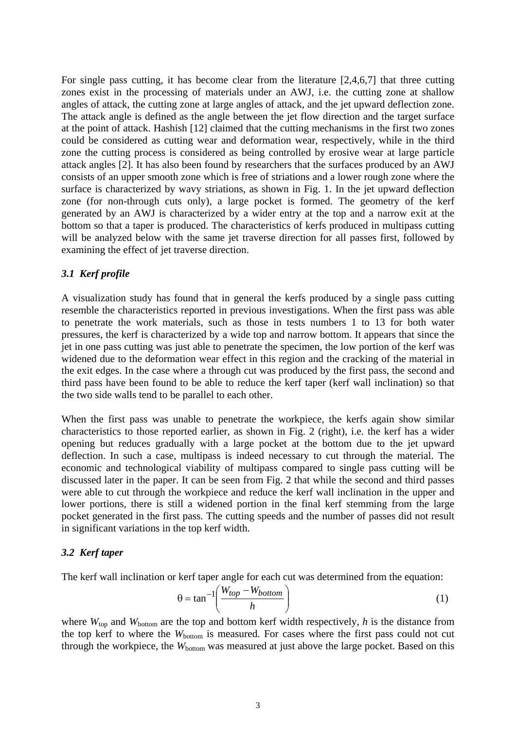For single pass cutting, it has become clear from the literature [2,4,6,7] that three cutting zones exist in the processing of materials under an AWJ, i.e. the cutting zone at shallow angles of attack, the cutting zone at large angles of attack, and the jet upward deflection zone. The attack angle is defined as the angle between the jet flow direction and the target surface at the point of attack. Hashish [12] claimed that the cutting mechanisms in the first two zones could be considered as cutting wear and deformation wear, respectively, while in the third zone the cutting process is considered as being controlled by erosive wear at large particle attack angles [2]. It has also been found by researchers that the surfaces produced by an AWJ consists of an upper smooth zone which is free of striations and a lower rough zone where the surface is characterized by wavy striations, as shown in Fig. 1. In the jet upward deflection zone (for non-through cuts only), a large pocket is formed. The geometry of the kerf generated by an AWJ is characterized by a wider entry at the top and a narrow exit at the bottom so that a taper is produced. The characteristics of kerfs produced in multipass cutting will be analyzed below with the same jet traverse direction for all passes first, followed by examining the effect of jet traverse direction.

#### *3.1 Kerf profile*

A visualization study has found that in general the kerfs produced by a single pass cutting resemble the characteristics reported in previous investigations. When the first pass was able to penetrate the work materials, such as those in tests numbers 1 to 13 for both water pressures, the kerf is characterized by a wide top and narrow bottom. It appears that since the jet in one pass cutting was just able to penetrate the specimen, the low portion of the kerf was widened due to the deformation wear effect in this region and the cracking of the material in the exit edges. In the case where a through cut was produced by the first pass, the second and third pass have been found to be able to reduce the kerf taper (kerf wall inclination) so that the two side walls tend to be parallel to each other.

When the first pass was unable to penetrate the workpiece, the kerfs again show similar characteristics to those reported earlier, as shown in Fig. 2 (right), i.e. the kerf has a wider opening but reduces gradually with a large pocket at the bottom due to the jet upward deflection. In such a case, multipass is indeed necessary to cut through the material. The economic and technological viability of multipass compared to single pass cutting will be discussed later in the paper. It can be seen from Fig. 2 that while the second and third passes were able to cut through the workpiece and reduce the kerf wall inclination in the upper and lower portions, there is still a widened portion in the final kerf stemming from the large pocket generated in the first pass. The cutting speeds and the number of passes did not result in significant variations in the top kerf width.

#### *3.2 Kerf taper*

The kerf wall inclination or kerf taper angle for each cut was determined from the equation:

$$
\theta = \tan^{-1} \left( \frac{W_{top} - W_{bottom}}{h} \right) \tag{1}
$$

where  $W_{top}$  and  $W_{bottom}$  are the top and bottom kerf width respectively, *h* is the distance from the top kerf to where the  $W_{bottom}$  is measured. For cases where the first pass could not cut through the workpiece, the  $W_{bottom}$  was measured at just above the large pocket. Based on this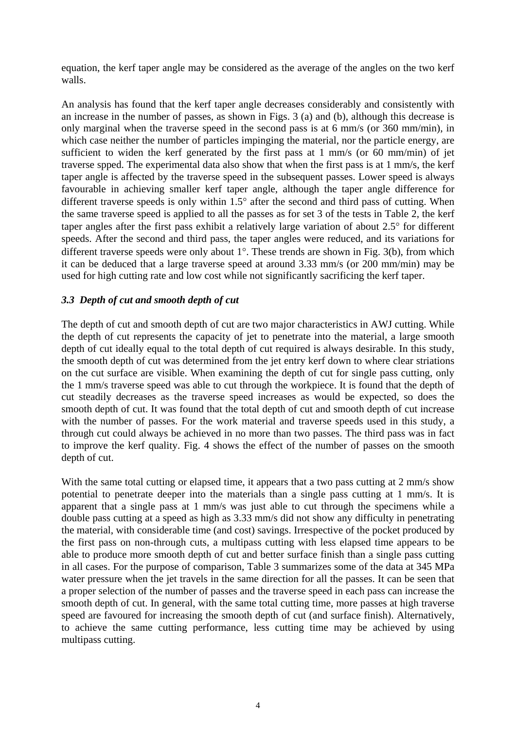equation, the kerf taper angle may be considered as the average of the angles on the two kerf walls.

An analysis has found that the kerf taper angle decreases considerably and consistently with an increase in the number of passes, as shown in Figs. 3 (a) and (b), although this decrease is only marginal when the traverse speed in the second pass is at 6 mm/s (or 360 mm/min), in which case neither the number of particles impinging the material, nor the particle energy, are sufficient to widen the kerf generated by the first pass at 1 mm/s (or 60 mm/min) of jet traverse spped. The experimental data also show that when the first pass is at 1 mm/s, the kerf taper angle is affected by the traverse speed in the subsequent passes. Lower speed is always favourable in achieving smaller kerf taper angle, although the taper angle difference for different traverse speeds is only within 1.5° after the second and third pass of cutting. When the same traverse speed is applied to all the passes as for set 3 of the tests in Table 2, the kerf taper angles after the first pass exhibit a relatively large variation of about 2.5° for different speeds. After the second and third pass, the taper angles were reduced, and its variations for different traverse speeds were only about 1°. These trends are shown in Fig. 3(b), from which it can be deduced that a large traverse speed at around 3.33 mm/s (or 200 mm/min) may be used for high cutting rate and low cost while not significantly sacrificing the kerf taper.

#### *3.3 Depth of cut and smooth depth of cut*

The depth of cut and smooth depth of cut are two major characteristics in AWJ cutting. While the depth of cut represents the capacity of jet to penetrate into the material, a large smooth depth of cut ideally equal to the total depth of cut required is always desirable. In this study, the smooth depth of cut was determined from the jet entry kerf down to where clear striations on the cut surface are visible. When examining the depth of cut for single pass cutting, only the 1 mm/s traverse speed was able to cut through the workpiece. It is found that the depth of cut steadily decreases as the traverse speed increases as would be expected, so does the smooth depth of cut. It was found that the total depth of cut and smooth depth of cut increase with the number of passes. For the work material and traverse speeds used in this study, a through cut could always be achieved in no more than two passes. The third pass was in fact to improve the kerf quality. Fig. 4 shows the effect of the number of passes on the smooth depth of cut.

With the same total cutting or elapsed time, it appears that a two pass cutting at 2 mm/s show potential to penetrate deeper into the materials than a single pass cutting at 1 mm/s. It is apparent that a single pass at 1 mm/s was just able to cut through the specimens while a double pass cutting at a speed as high as 3.33 mm/s did not show any difficulty in penetrating the material, with considerable time (and cost) savings. Irrespective of the pocket produced by the first pass on non-through cuts, a multipass cutting with less elapsed time appears to be able to produce more smooth depth of cut and better surface finish than a single pass cutting in all cases. For the purpose of comparison, Table 3 summarizes some of the data at 345 MPa water pressure when the jet travels in the same direction for all the passes. It can be seen that a proper selection of the number of passes and the traverse speed in each pass can increase the smooth depth of cut. In general, with the same total cutting time, more passes at high traverse speed are favoured for increasing the smooth depth of cut (and surface finish). Alternatively, to achieve the same cutting performance, less cutting time may be achieved by using multipass cutting.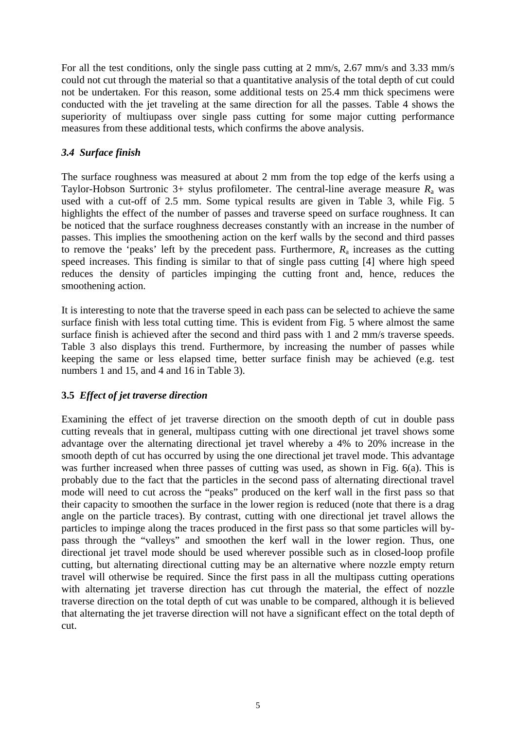For all the test conditions, only the single pass cutting at 2 mm/s, 2.67 mm/s and 3.33 mm/s could not cut through the material so that a quantitative analysis of the total depth of cut could not be undertaken. For this reason, some additional tests on 25.4 mm thick specimens were conducted with the jet traveling at the same direction for all the passes. Table 4 shows the superiority of multiupass over single pass cutting for some major cutting performance measures from these additional tests, which confirms the above analysis.

### *3.4 Surface finish*

The surface roughness was measured at about 2 mm from the top edge of the kerfs using a Taylor-Hobson Surtronic 3+ stylus profilometer. The central-line average measure  $R_a$  was used with a cut-off of 2.5 mm. Some typical results are given in Table 3, while Fig. 5 highlights the effect of the number of passes and traverse speed on surface roughness. It can be noticed that the surface roughness decreases constantly with an increase in the number of passes. This implies the smoothening action on the kerf walls by the second and third passes to remove the 'peaks' left by the precedent pass. Furthermore,  $R_a$  increases as the cutting speed increases. This finding is similar to that of single pass cutting [4] where high speed reduces the density of particles impinging the cutting front and, hence, reduces the smoothening action.

It is interesting to note that the traverse speed in each pass can be selected to achieve the same surface finish with less total cutting time. This is evident from Fig. 5 where almost the same surface finish is achieved after the second and third pass with 1 and 2 mm/s traverse speeds. Table 3 also displays this trend. Furthermore, by increasing the number of passes while keeping the same or less elapsed time, better surface finish may be achieved (e.g. test numbers 1 and 15, and 4 and 16 in Table 3).

## **3.5** *Effect of jet traverse direction*

Examining the effect of jet traverse direction on the smooth depth of cut in double pass cutting reveals that in general, multipass cutting with one directional jet travel shows some advantage over the alternating directional jet travel whereby a 4% to 20% increase in the smooth depth of cut has occurred by using the one directional jet travel mode. This advantage was further increased when three passes of cutting was used, as shown in Fig. 6(a). This is probably due to the fact that the particles in the second pass of alternating directional travel mode will need to cut across the "peaks" produced on the kerf wall in the first pass so that their capacity to smoothen the surface in the lower region is reduced (note that there is a drag angle on the particle traces). By contrast, cutting with one directional jet travel allows the particles to impinge along the traces produced in the first pass so that some particles will bypass through the "valleys" and smoothen the kerf wall in the lower region. Thus, one directional jet travel mode should be used wherever possible such as in closed-loop profile cutting, but alternating directional cutting may be an alternative where nozzle empty return travel will otherwise be required. Since the first pass in all the multipass cutting operations with alternating jet traverse direction has cut through the material, the effect of nozzle traverse direction on the total depth of cut was unable to be compared, although it is believed that alternating the jet traverse direction will not have a significant effect on the total depth of cut.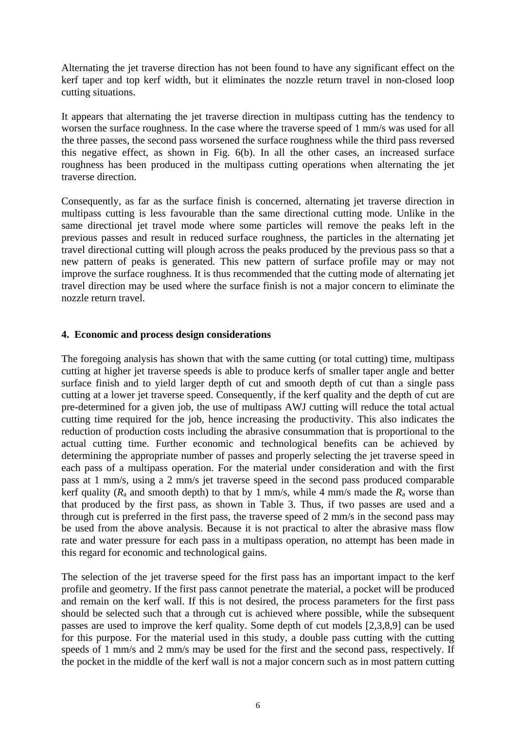Alternating the jet traverse direction has not been found to have any significant effect on the kerf taper and top kerf width, but it eliminates the nozzle return travel in non-closed loop cutting situations.

It appears that alternating the jet traverse direction in multipass cutting has the tendency to worsen the surface roughness. In the case where the traverse speed of 1 mm/s was used for all the three passes, the second pass worsened the surface roughness while the third pass reversed this negative effect, as shown in Fig. 6(b). In all the other cases, an increased surface roughness has been produced in the multipass cutting operations when alternating the jet traverse direction.

Consequently, as far as the surface finish is concerned, alternating jet traverse direction in multipass cutting is less favourable than the same directional cutting mode. Unlike in the same directional jet travel mode where some particles will remove the peaks left in the previous passes and result in reduced surface roughness, the particles in the alternating jet travel directional cutting will plough across the peaks produced by the previous pass so that a new pattern of peaks is generated. This new pattern of surface profile may or may not improve the surface roughness. It is thus recommended that the cutting mode of alternating jet travel direction may be used where the surface finish is not a major concern to eliminate the nozzle return travel.

#### **4. Economic and process design considerations**

The foregoing analysis has shown that with the same cutting (or total cutting) time, multipass cutting at higher jet traverse speeds is able to produce kerfs of smaller taper angle and better surface finish and to yield larger depth of cut and smooth depth of cut than a single pass cutting at a lower jet traverse speed. Consequently, if the kerf quality and the depth of cut are pre-determined for a given job, the use of multipass AWJ cutting will reduce the total actual cutting time required for the job, hence increasing the productivity. This also indicates the reduction of production costs including the abrasive consummation that is proportional to the actual cutting time. Further economic and technological benefits can be achieved by determining the appropriate number of passes and properly selecting the jet traverse speed in each pass of a multipass operation. For the material under consideration and with the first pass at 1 mm/s, using a 2 mm/s jet traverse speed in the second pass produced comparable kerf quality  $(R_a$  and smooth depth) to that by 1 mm/s, while 4 mm/s made the  $R_a$  worse than that produced by the first pass, as shown in Table 3. Thus, if two passes are used and a through cut is preferred in the first pass, the traverse speed of 2 mm/s in the second pass may be used from the above analysis. Because it is not practical to alter the abrasive mass flow rate and water pressure for each pass in a multipass operation, no attempt has been made in this regard for economic and technological gains.

The selection of the jet traverse speed for the first pass has an important impact to the kerf profile and geometry. If the first pass cannot penetrate the material, a pocket will be produced and remain on the kerf wall. If this is not desired, the process parameters for the first pass should be selected such that a through cut is achieved where possible, while the subsequent passes are used to improve the kerf quality. Some depth of cut models [2,3,8,9] can be used for this purpose. For the material used in this study, a double pass cutting with the cutting speeds of 1 mm/s and 2 mm/s may be used for the first and the second pass, respectively. If the pocket in the middle of the kerf wall is not a major concern such as in most pattern cutting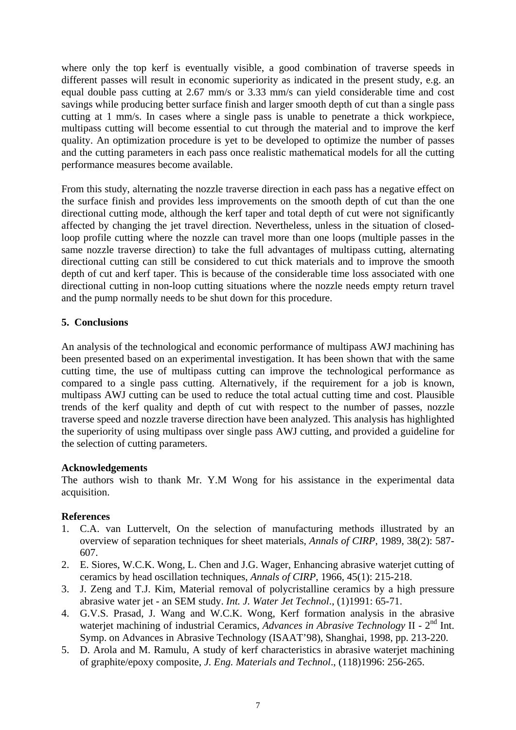where only the top kerf is eventually visible, a good combination of traverse speeds in different passes will result in economic superiority as indicated in the present study, e.g. an equal double pass cutting at 2.67 mm/s or 3.33 mm/s can yield considerable time and cost savings while producing better surface finish and larger smooth depth of cut than a single pass cutting at 1 mm/s. In cases where a single pass is unable to penetrate a thick workpiece, multipass cutting will become essential to cut through the material and to improve the kerf quality. An optimization procedure is yet to be developed to optimize the number of passes and the cutting parameters in each pass once realistic mathematical models for all the cutting performance measures become available.

From this study, alternating the nozzle traverse direction in each pass has a negative effect on the surface finish and provides less improvements on the smooth depth of cut than the one directional cutting mode, although the kerf taper and total depth of cut were not significantly affected by changing the jet travel direction. Nevertheless, unless in the situation of closedloop profile cutting where the nozzle can travel more than one loops (multiple passes in the same nozzle traverse direction) to take the full advantages of multipass cutting, alternating directional cutting can still be considered to cut thick materials and to improve the smooth depth of cut and kerf taper. This is because of the considerable time loss associated with one directional cutting in non-loop cutting situations where the nozzle needs empty return travel and the pump normally needs to be shut down for this procedure.

### **5. Conclusions**

An analysis of the technological and economic performance of multipass AWJ machining has been presented based on an experimental investigation. It has been shown that with the same cutting time, the use of multipass cutting can improve the technological performance as compared to a single pass cutting. Alternatively, if the requirement for a job is known, multipass AWJ cutting can be used to reduce the total actual cutting time and cost. Plausible trends of the kerf quality and depth of cut with respect to the number of passes, nozzle traverse speed and nozzle traverse direction have been analyzed. This analysis has highlighted the superiority of using multipass over single pass AWJ cutting, and provided a guideline for the selection of cutting parameters.

#### **Acknowledgements**

The authors wish to thank Mr. Y.M Wong for his assistance in the experimental data acquisition.

#### **References**

- 1. C.A. van Luttervelt, On the selection of manufacturing methods illustrated by an overview of separation techniques for sheet materials, *Annals of CIRP*, 1989, 38(2): 587- 607.
- 2. E. Siores, W.C.K. Wong, L. Chen and J.G. Wager, Enhancing abrasive waterjet cutting of ceramics by head oscillation techniques, *Annals of CIRP*, 1966, 45(1): 215-218.
- 3. J. Zeng and T.J. Kim, Material removal of polycristalline ceramics by a high pressure abrasive water jet - an SEM study. *Int. J. Water Jet Technol*., (1)1991: 65-71.
- 4. G.V.S. Prasad, J. Wang and W.C.K. Wong, Kerf formation analysis in the abrasive waterjet machining of industrial Ceramics, *Advances in Abrasive Technology* II - 2nd Int. Symp. on Advances in Abrasive Technology (ISAAT'98), Shanghai, 1998, pp. 213-220.
- 5. D. Arola and M. Ramulu, A study of kerf characteristics in abrasive waterjet machining of graphite/epoxy composite, *J. Eng. Materials and Technol*., (118)1996: 256-265.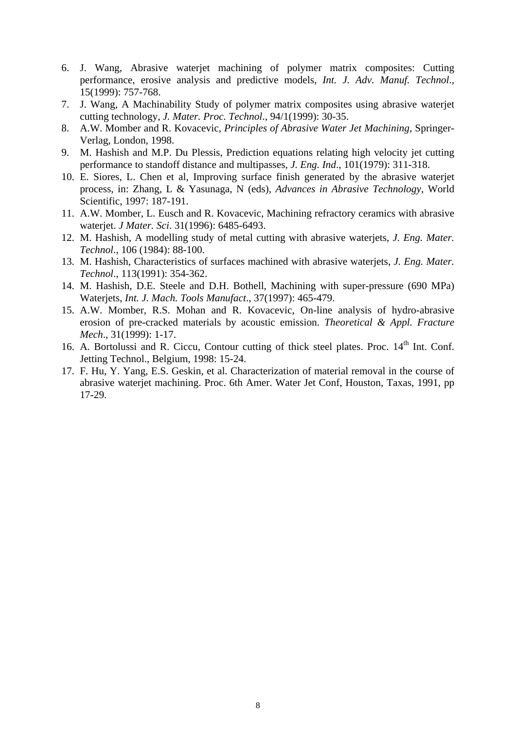- 6. J. Wang, Abrasive waterjet machining of polymer matrix composites: Cutting performance, erosive analysis and predictive models, *Int. J. Adv. Manuf. Technol*., 15(1999): 757-768.
- 7. J. Wang, A Machinability Study of polymer matrix composites using abrasive waterjet cutting technology, *J. Mater. Proc. Technol*., 94/1(1999): 30-35.
- 8. A.W. Momber and R. Kovacevic, *Principles of Abrasive Water Jet Machining*, Springer-Verlag, London, 1998.
- 9. M. Hashish and M.P. Du Plessis, Prediction equations relating high velocity jet cutting performance to standoff distance and multipasses, *J. Eng. Ind*., 101(1979): 311-318.
- 10. E. Siores, L. Chen et al, Improving surface finish generated by the abrasive waterjet process, in: Zhang, L & Yasunaga, N (eds), *Advances in Abrasive Technology*, World Scientific, 1997: 187-191.
- 11. A.W. Momber, L. Eusch and R. Kovacevic, Machining refractory ceramics with abrasive waterjet. *J Mater. Sci*. 31(1996): 6485-6493.
- 12. M. Hashish, A modelling study of metal cutting with abrasive waterjets, *J. Eng. Mater. Technol*., 106 (1984): 88-100.
- 13. M. Hashish, Characteristics of surfaces machined with abrasive waterjets, *J. Eng. Mater. Technol*., 113(1991): 354-362.
- 14. M. Hashish, D.E. Steele and D.H. Bothell, Machining with super-pressure (690 MPa) Waterjets, *Int. J. Mach. Tools Manufact*., 37(1997): 465-479.
- 15. A.W. Momber, R.S. Mohan and R. Kovacevic, On-line analysis of hydro-abrasive erosion of pre-cracked materials by acoustic emission. *Theoretical & Appl. Fracture Mech*., 31(1999): 1-17.
- 16. A. Bortolussi and R. Ciccu, Contour cutting of thick steel plates. Proc. 14<sup>th</sup> Int. Conf. Jetting Technol., Belgium, 1998: 15-24.
- 17. F. Hu, Y. Yang, E.S. Geskin, et al. Characterization of material removal in the course of abrasive waterjet machining. Proc. 6th Amer. Water Jet Conf, Houston, Taxas, 1991, pp 17-29.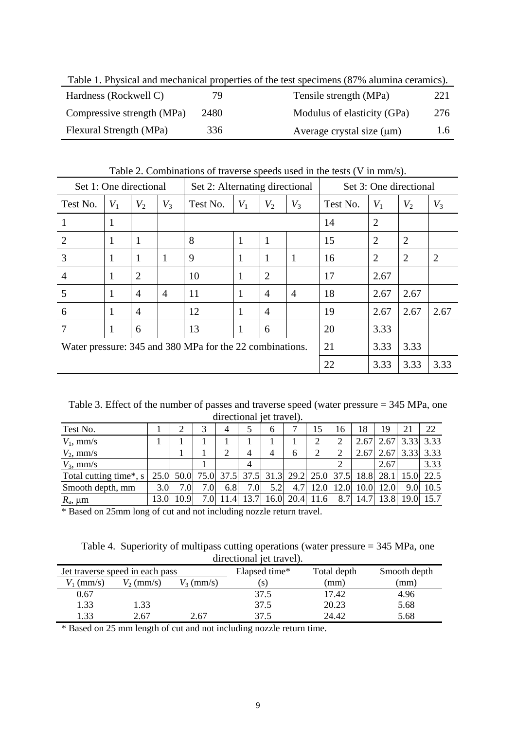| Table 1. Physical and mechanical properties of the test specimens (87% alumina ceramics). |      |                                |     |  |  |  |  |
|-------------------------------------------------------------------------------------------|------|--------------------------------|-----|--|--|--|--|
| Hardness (Rockwell C)                                                                     | 79   | Tensile strength (MPa)         | 221 |  |  |  |  |
| Compressive strength (MPa)                                                                | 2480 | Modulus of elasticity (GPa)    | 276 |  |  |  |  |
| Flexural Strength (MPa)                                                                   | 336  | Average crystal size $(\mu m)$ | 1.6 |  |  |  |  |

Table 1. Physical and mechanical properties of the test specimens (87% alumina ceramics).

Table 2. Combinations of traverse speeds used in the tests (V in mm/s).

| Set 1: One directional<br>Set 2: Alternating directional |       |                |       |          | Set 3: One directional  |                |                |          |                |                |                |
|----------------------------------------------------------|-------|----------------|-------|----------|-------------------------|----------------|----------------|----------|----------------|----------------|----------------|
| Test No.                                                 | $V_1$ | $V_2$          | $V_3$ | Test No. | $V_1$<br>$V_2$<br>$V_3$ |                |                | Test No. | $V_1$          | $V_2$          | $V_3$          |
|                                                          | 1     |                |       |          |                         |                |                | 14       | $\overline{2}$ |                |                |
| $\overline{2}$                                           | 1     | $\mathbf{1}$   |       | 8        | 1                       | 1              |                | 15       | $\overline{2}$ | $\overline{2}$ |                |
| 3                                                        | 1     | -1             | 1     | 9        | 1                       | 1              | 1              | 16       | $\overline{2}$ | 2              | $\overline{2}$ |
| $\overline{4}$                                           | 1     | $\overline{2}$ |       | 10       | 1                       | $\overline{2}$ |                | 17       | 2.67           |                |                |
| 5                                                        | 1     | $\overline{4}$ | 4     | 11       | 1                       | $\overline{4}$ | $\overline{4}$ | 18       | 2.67           | 2.67           |                |
| 6                                                        | 1     | $\overline{4}$ |       | 12       | 1                       | $\overline{4}$ |                | 19       | 2.67           | 2.67           | 2.67           |
|                                                          | 1     | 6              |       | 13       | 1                       | 6              |                | 20       | 3.33           |                |                |
| Water pressure: 345 and 380 MPa for the 22 combinations. |       |                |       |          |                         | 21             | 3.33           | 3.33     |                |                |                |
|                                                          |       |                |       |          |                         |                | 22             | 3.33     | 3.33           | 3.33           |                |

Table 3. Effect of the number of passes and traverse speed (water pressure = 345 MPa, one directional jet travel).

| Test No.               |                  |           | 2               | 4   |                                    | 6    | –    | 15   | 16   | 18   | 19   | 21             | 22        |
|------------------------|------------------|-----------|-----------------|-----|------------------------------------|------|------|------|------|------|------|----------------|-----------|
| $V_1$ , mm/s           |                  |           |                 |     |                                    |      |      | ◠    |      | 2.67 | 2.67 | 3.33           | 3.33      |
| $V_2$ , mm/s           |                  |           |                 | ↑   |                                    | 4    | 6    | 2    |      | 2.67 | 2.67 |                | 3.33 3.33 |
| $V_3$ , mm/s           |                  |           |                 |     | 4                                  |      |      |      |      |      | 2.67 |                | 3.33      |
| Total cutting time*, s |                  | 25.0 50.0 |                 |     | 75.0 37.5 37.5 31.3 29.2 25.0 37.5 |      |      |      |      | 18.8 |      | 28.1 15.0 22.5 |           |
| Smooth depth, mm       | 3.0 <sub>l</sub> | 7.0       | 7.0I            | 6.8 | 7.0 <sub>l</sub>                   | 5.2  | 4.7  | 12.0 | 12.0 | 10.0 | 12.0 | 9.0            | 10.5      |
| $R_{\rm a}$ , $\mu$ m  |                  | 10.9      | .0 <sub>1</sub> | .41 | 13.7                               | 16.0 | 20.4 | 11.6 | 8.7  | 14.7 |      | 13.8 19.0      |           |

\* Based on 25mm long of cut and not including nozzle return travel.

Table 4. Superiority of multipass cutting operations (water pressure = 345 MPa, one directional jet travel).

|              |                                 |              | -------------- |             |              |  |  |
|--------------|---------------------------------|--------------|----------------|-------------|--------------|--|--|
|              | Jet traverse speed in each pass |              | Elapsed time*  | Total depth | Smooth depth |  |  |
| $V_1$ (mm/s) | $V_2$ (mm/s)                    | $V_3$ (mm/s) | .S)            | (mm         | mm)          |  |  |
| 0.67         |                                 |              | 37.5           | 17.42       | 4.96         |  |  |
| 1.33         | 1.33                            |              | 37.5           | 20.23       | 5.68         |  |  |
| . 33         | 2.67                            | 2.67         | 37.5           | 24.42       | 5.68         |  |  |

\* Based on 25 mm length of cut and not including nozzle return time.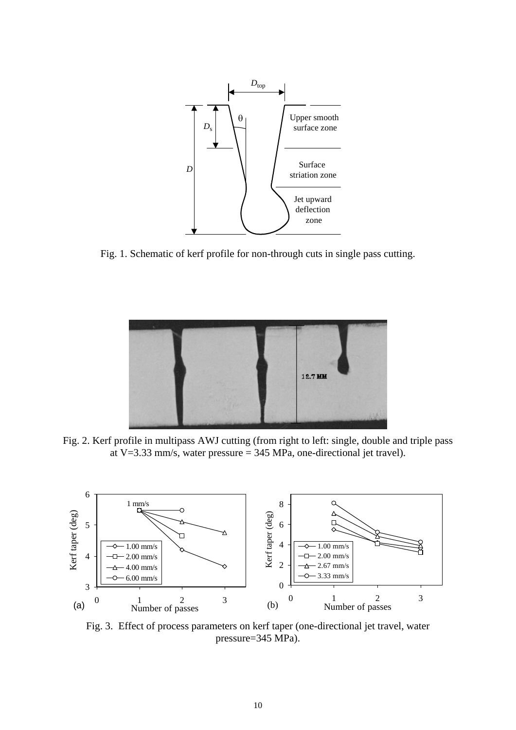

Fig. 1. Schematic of kerf profile for non-through cuts in single pass cutting.



Fig. 2. Kerf profile in multipass AWJ cutting (from right to left: single, double and triple pass at V=3.33 mm/s, water pressure = 345 MPa, one-directional jet travel).



Fig. 3. Effect of process parameters on kerf taper (one-directional jet travel, water pressure=345 MPa).